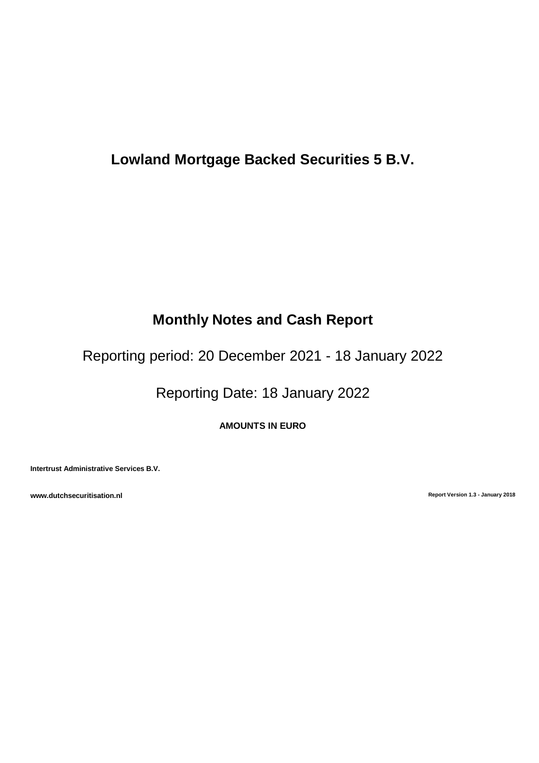# **Lowland Mortgage Backed Securities 5 B.V.**

# **Monthly Notes and Cash Report**

Reporting period: 20 December 2021 - 18 January 2022

Reporting Date: 18 January 2022

**AMOUNTS IN EURO**

**Intertrust Administrative Services B.V.**

**www.dutchsecuritisation.nl Report Version 1.3 - January 2018**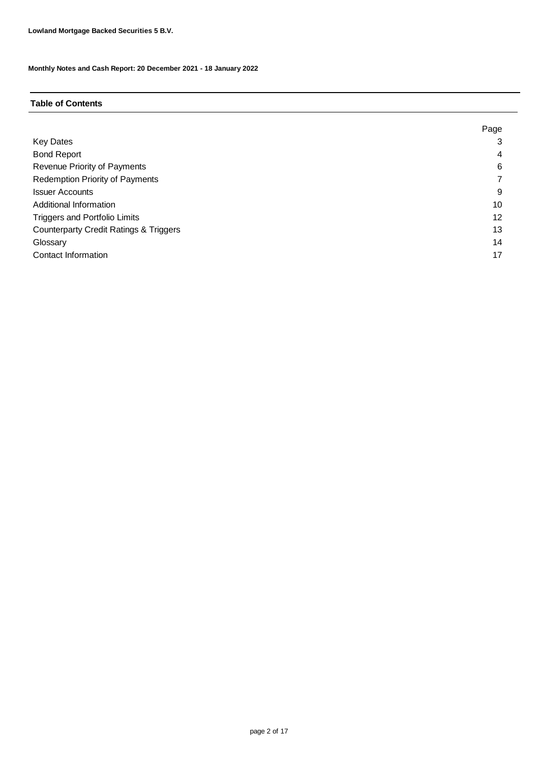#### **Table of Contents**

|                                                   | Page |
|---------------------------------------------------|------|
| <b>Key Dates</b>                                  |      |
| <b>Bond Report</b>                                | 4    |
| Revenue Priority of Payments                      | 6    |
| <b>Redemption Priority of Payments</b>            |      |
| <b>Issuer Accounts</b>                            | 9    |
| Additional Information                            | 10   |
| <b>Triggers and Portfolio Limits</b>              | 12   |
| <b>Counterparty Credit Ratings &amp; Triggers</b> | 13   |
| Glossary                                          | 14   |
| Contact Information                               | 17   |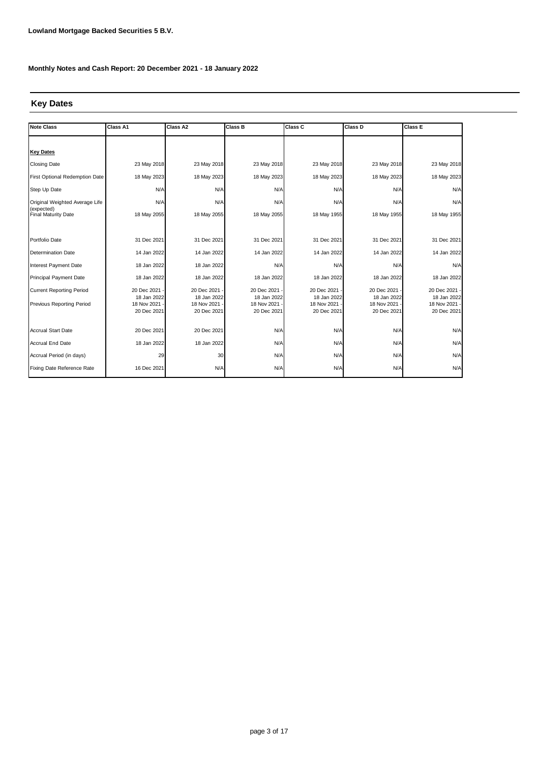### **Key Dates**

| <b>Note Class</b>                        | Class A1                   | Class A2                   | <b>Class B</b>             | Class C                    | Class D                    | Class E                      |
|------------------------------------------|----------------------------|----------------------------|----------------------------|----------------------------|----------------------------|------------------------------|
|                                          |                            |                            |                            |                            |                            |                              |
| <b>Key Dates</b>                         |                            |                            |                            |                            |                            |                              |
| Closing Date                             | 23 May 2018                | 23 May 2018                | 23 May 2018                | 23 May 2018                | 23 May 2018                | 23 May 2018                  |
| First Optional Redemption Date           | 18 May 2023                | 18 May 2023                | 18 May 2023                | 18 May 2023                | 18 May 2023                | 18 May 2023                  |
| Step Up Date                             | N/A                        | N/A                        | N/A                        | N/A                        | N/A                        | N/A                          |
| Original Weighted Average Life           | N/A                        | N/A                        | N/A                        | N/A                        | N/A                        | N/A                          |
| (expected)<br><b>Final Maturity Date</b> | 18 May 2055                | 18 May 2055                | 18 May 2055                | 18 May 1955                | 18 May 1955                | 18 May 1955                  |
|                                          |                            |                            |                            |                            |                            |                              |
| Portfolio Date                           | 31 Dec 2021                | 31 Dec 2021                | 31 Dec 2021                | 31 Dec 2021                | 31 Dec 2021                | 31 Dec 2021                  |
| <b>Determination Date</b>                | 14 Jan 2022                | 14 Jan 2022                | 14 Jan 2022                | 14 Jan 2022                | 14 Jan 2022                | 14 Jan 2022                  |
| <b>Interest Payment Date</b>             | 18 Jan 2022                | 18 Jan 2022                | N/A                        | N/A                        | N/A                        | N/A                          |
| <b>Principal Payment Date</b>            | 18 Jan 2022                | 18 Jan 2022                | 18 Jan 2022                | 18 Jan 2022                | 18 Jan 2022                | 18 Jan 2022                  |
| <b>Current Reporting Period</b>          | 20 Dec 2021                | 20 Dec 2021                | 20 Dec 2021                | 20 Dec 2021                | 20 Dec 2021                | 20 Dec 2021 -                |
| Previous Reporting Period                | 18 Jan 2022<br>18 Nov 2021 | 18 Jan 2022<br>18 Nov 2021 | 18 Jan 2022<br>18 Nov 2021 | 18 Jan 2022<br>18 Nov 2021 | 18 Jan 2022<br>18 Nov 2021 | 18 Jan 2022<br>18 Nov 2021 - |
|                                          | 20 Dec 2021                | 20 Dec 2021                | 20 Dec 2021                | 20 Dec 2021                | 20 Dec 2021                | 20 Dec 2021                  |
|                                          |                            |                            |                            |                            |                            |                              |
| <b>Accrual Start Date</b>                | 20 Dec 2021                | 20 Dec 2021                | N/A                        | N/A                        | N/A                        | N/A                          |
| <b>Accrual End Date</b>                  | 18 Jan 2022                | 18 Jan 2022                | N/A                        | N/A                        | N/A                        | N/A                          |
| Accrual Period (in days)                 | 29                         | 30                         | N/A                        | N/A                        | N/A                        | N/A                          |
| Fixing Date Reference Rate               | 16 Dec 2021                | N/A                        | N/A                        | N/A                        | N/A                        | N/A                          |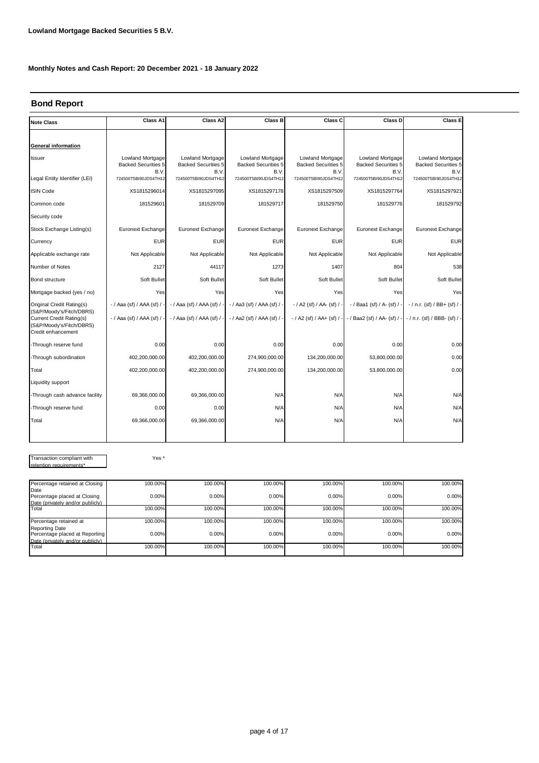### **Bond Report**

| <b>Note Class</b>                                                                                      | Class A1                                               | Class A2                                               | Class B                                                | Class C                                                | Class D                                                | Class E                                                |
|--------------------------------------------------------------------------------------------------------|--------------------------------------------------------|--------------------------------------------------------|--------------------------------------------------------|--------------------------------------------------------|--------------------------------------------------------|--------------------------------------------------------|
|                                                                                                        |                                                        |                                                        |                                                        |                                                        |                                                        |                                                        |
| <b>General information</b>                                                                             |                                                        |                                                        |                                                        |                                                        |                                                        |                                                        |
| <b>Issuer</b>                                                                                          | Lowland Mortgage<br><b>Backed Securities 5</b><br>B.V. | Lowland Mortgage<br><b>Backed Securities 5</b><br>B.V. | Lowland Mortgage<br><b>Backed Securities 5</b><br>B.V. | Lowland Mortgage<br><b>Backed Securities 5</b><br>B.V. | Lowland Mortgage<br><b>Backed Securities 5</b><br>B.V. | Lowland Mortgage<br><b>Backed Securities 5</b><br>B.V. |
| Legal Entity Identifier (LEI)                                                                          | 724500T5BI90JDS4TH12                                   | 724500T5BI90JDS4TH12                                   | 724500T5BI90JDS4TH12                                   | 724500T5BI90JDS4TH12                                   | 724500T5BI90JDS4TH12                                   | 724500T5BI90JDS4TH12                                   |
| <b>ISIN Code</b>                                                                                       | XS1815296014                                           | XS1815297095                                           | XS1815297178                                           | XS1815297509                                           | XS1815297764                                           | XS1815297921                                           |
| Common code                                                                                            | 181529601                                              | 181529709                                              | 181529717                                              | 181529750                                              | 181529776                                              | 181529792                                              |
| Security code                                                                                          |                                                        |                                                        |                                                        |                                                        |                                                        |                                                        |
| Stock Exchange Listing(s)                                                                              | Euronext Exchange                                      | Euronext Exchange                                      | Euronext Exchange                                      | Euronext Exchange                                      | Euronext Exchange                                      | Euronext Exchange                                      |
| Currency                                                                                               | <b>EUR</b>                                             | <b>EUR</b>                                             | <b>EUR</b>                                             | <b>EUR</b>                                             | <b>EUR</b>                                             | <b>EUR</b>                                             |
| Applicable exchange rate                                                                               | Not Applicable                                         | Not Applicable                                         | Not Applicable                                         | Not Applicable                                         | Not Applicable                                         | Not Applicable                                         |
| Number of Notes                                                                                        | 2127                                                   | 44117                                                  | 1273                                                   | 1407                                                   | 804                                                    | 538                                                    |
| Bond structure                                                                                         | Soft Bullet                                            | Soft Bullet                                            | Soft Bullet                                            | Soft Bullet                                            | Soft Bullet                                            | Soft Bullet                                            |
| Mortgage backed (yes / no)                                                                             | Yes                                                    | Yes                                                    | Yes                                                    | Yes                                                    | Yes                                                    | Yes                                                    |
| Original Credit Rating(s)                                                                              | - / Aaa (sf) / AAA (sf) /                              | $-$ / Aaa (sf) / AAA (sf) /                            | - / Aa3 (sf) / AAA (sf) / -                            | - / A2 (sf) / AA- (sf) / -                             | -/ Baa1 (sf) / A- (sf) / -                             | $-$ / n.r. (sf) / BB+ (sf) / -                         |
| (S&P/Moody's/Fitch/DBRS)<br>Current Credit Rating(s)<br>(S&P/Moody's/Fitch/DBRS)<br>Credit enhancement | $-$ / Aaa (sf) / AAA (sf) /                            | - / Aaa (sf) / AAA (sf) / -                            | - / Aa2 (sf) / AAA (sf) / -                            |                                                        | -/ A2 (sf) / AA+ (sf) / - -/ Baa2 (sf) / AA- (sf) / -  | - / n.r. (sf) / BBB- (sf) / -                          |
| -Through reserve fund                                                                                  | 0.00                                                   | 0.00                                                   | 0.00                                                   | 0.00                                                   | 0.00                                                   | 0.00                                                   |
| -Through subordination                                                                                 | 402,200,000.00                                         | 402,200,000.00                                         | 274,900,000.00                                         | 134,200,000.00                                         | 53,800,000.00                                          | 0.00                                                   |
| Total                                                                                                  | 402,200,000.00                                         | 402,200,000.00                                         | 274,900,000.00                                         | 134,200,000.00                                         | 53,800,000.00                                          | 0.00                                                   |
| Liquidity support                                                                                      |                                                        |                                                        |                                                        |                                                        |                                                        |                                                        |
| -Through cash advance facility                                                                         | 69,366,000.00                                          | 69,366,000.00                                          | N/A                                                    | N/A                                                    | N/A                                                    | N/A                                                    |
| -Through reserve fund                                                                                  | 0.00                                                   | 0.00                                                   | N/A                                                    | N/A                                                    | N/A                                                    | N/A                                                    |
| Total                                                                                                  | 69.366.000.00                                          | 69,366,000.00                                          | N/A                                                    | N/A                                                    | N/A                                                    | N/A                                                    |
|                                                                                                        |                                                        |                                                        |                                                        |                                                        |                                                        |                                                        |

Transaction compliant with retention requirements\*

Yes \*

| Percentage retained at Closing                          | 100.00% | 100.00% | 100.00% | 100.00% | 100.00% | 100.00% |
|---------------------------------------------------------|---------|---------|---------|---------|---------|---------|
| Date                                                    |         |         |         |         |         |         |
| Percentage placed at Closing                            | 0.00%   | 0.00%   | 0.00%   | 0.00%   | 0.00%   | 0.00%   |
| Date (privately and/or publicly)                        |         |         |         |         |         |         |
| Total                                                   | 100.00% | 100.00% | 100.00% | 100.00% | 100.00% | 100.00% |
| Percentage retained at                                  | 100.00% | 100.00% | 100.00% | 100.00% | 100.00% | 100.00% |
| <b>Reporting Date</b><br>Percentage placed at Reporting | 0.00%   | 0.00%   | 0.00%   | 0.00%   | 0.00%   | 0.00%   |
| Date (privately and/or publicly)                        |         |         |         |         |         |         |
| Total                                                   | 100.00% | 100.00% | 100.00% | 100.00% | 100.00% | 100.00% |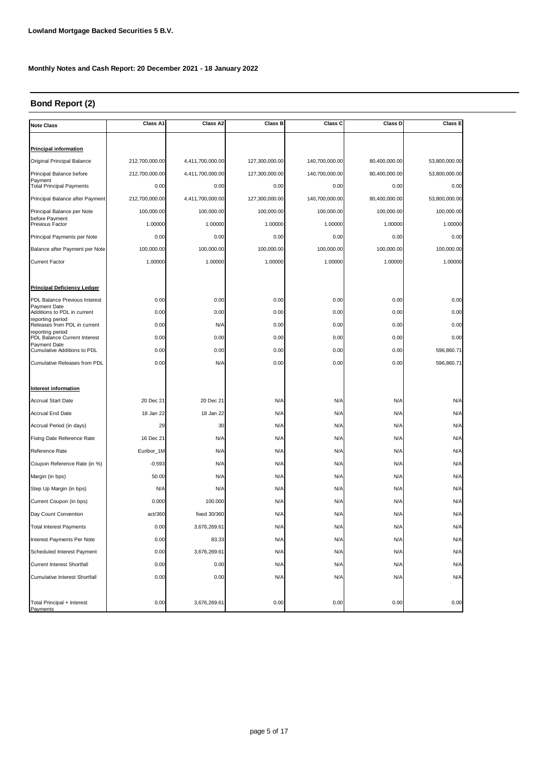## **Bond Report (2)**

| <b>Note Class</b>                                  | Class A1       | Class A2         | Class B        | Class C        | Class D       | Class E       |
|----------------------------------------------------|----------------|------------------|----------------|----------------|---------------|---------------|
|                                                    |                |                  |                |                |               |               |
| <b>Principal information</b>                       |                |                  |                |                |               |               |
| Original Principal Balance                         | 212,700,000.00 | 4,411,700,000.00 | 127,300,000.00 | 140,700,000.00 | 80,400,000.00 | 53,800,000.00 |
| Principal Balance before                           | 212,700,000.00 | 4,411,700,000.00 | 127,300,000.00 | 140,700,000.00 | 80,400,000.00 | 53,800,000.00 |
| Payment<br><b>Total Principal Payments</b>         | 0.00           | 0.00             | 0.00           | 0.00           | 0.00          | 0.00          |
| Principal Balance after Payment                    | 212,700,000.00 | 4,411,700,000.00 | 127,300,000.00 | 140,700,000.00 | 80,400,000.00 | 53,800,000.00 |
| Principal Balance per Note                         | 100,000.00     | 100,000.00       | 100,000.00     | 100,000.00     | 100,000.00    | 100,000.00    |
| before Payment<br>Previous Factor                  | 1.00000        | 1.00000          | 1.00000        | 1.00000        | 1.00000       | 1.00000       |
| Principal Payments per Note                        | 0.00           | 0.00             | 0.00           | 0.00           | 0.00          | 0.00          |
| Balance after Payment per Note                     | 100,000.00     | 100,000.00       | 100,000.00     | 100,000.00     | 100,000.00    | 100,000.00    |
| <b>Current Factor</b>                              | 1.00000        | 1.00000          | 1.00000        | 1.00000        | 1.00000       | 1.00000       |
|                                                    |                |                  |                |                |               |               |
| <b>Principal Deficiency Ledger</b>                 |                |                  |                |                |               |               |
| PDL Balance Previous Interest                      | 0.00           | 0.00             | 0.00           | 0.00           | 0.00          | 0.00          |
| Payment Date<br>Additions to PDL in current        | 0.00           | 0.00             | 0.00           | 0.00           | 0.00          | 0.00          |
| reporting period<br>Releases from PDL in current   | 0.00           | N/A              | 0.00           | 0.00           | 0.00          | 0.00          |
| reporting period<br>PDL Balance Current Interest   | 0.00           | 0.00             | 0.00           | 0.00           | 0.00          | 0.00          |
| Payment Date<br><b>Cumulative Additions to PDL</b> | 0.00           | 0.00             | 0.00           | 0.00           | 0.00          | 596,860.71    |
| Cumulative Releases from PDL                       | 0.00           | N/A              | 0.00           | 0.00           | 0.00          | 596,860.71    |
|                                                    |                |                  |                |                |               |               |
| Interest information                               |                |                  |                |                |               |               |
| <b>Accrual Start Date</b>                          | 20 Dec 21      | 20 Dec 21        | N/A            | N/A            | N/A           | N/A           |
| Accrual End Date                                   | 18 Jan 22      | 18 Jan 22        | N/A            | N/A            | N/A           | N/A           |
| Accrual Period (in days)                           | 29             | 30               | N/A            | N/A            | N/A           | N/A           |
| Fixing Date Reference Rate                         | 16 Dec 21      | N/A              | N/A            | N/A            | N/A           | N/A           |
| Reference Rate                                     | Euribor_1M     | N/A              | N/A            | N/A            | N/A           | N/A           |
| Coupon Reference Rate (in %)                       | $-0.593$       | N/A              | N/A            | N/A            | N/A           | N/A           |
| Margin (in bps)                                    | 50.00          | N/A              | N/A            | N/A            | N/A           | N/A           |
| Step Up Margin (in bps)                            | N/A            | N/A              | N/A            | N/A            | N/A           | N/A           |
| Current Coupon (in bps)                            | 0.000          | 100.000          | N/A            | N/A            | N/A           | N/A           |
| Day Count Convention                               | act/360        | fixed 30/360     | N/A            | N/A            | N/A           | N/A           |
| <b>Total Interest Payments</b>                     | 0.00           | 3,676,269.61     | N/A            | N/A            | N/A           | N/A           |
| Interest Payments Per Note                         | 0.00           | 83.33            | N/A            | N/A            | N/A           | N/A           |
| Scheduled Interest Payment                         | 0.00           | 3,676,269.61     | N/A            | N/A            | N/A           | N/A           |
| <b>Current Interest Shortfall</b>                  | 0.00           | 0.00             | N/A            | N/A            | N/A           | N/A           |
| <b>Cumulative Interest Shortfall</b>               | 0.00           | 0.00             | N/A            | N/A            | N/A           | N/A           |
|                                                    |                |                  |                |                |               |               |
| Total Principal + Interest<br>Payments             | 0.00           | 3,676,269.61     | 0.00           | 0.00           | 0.00          | 0.00          |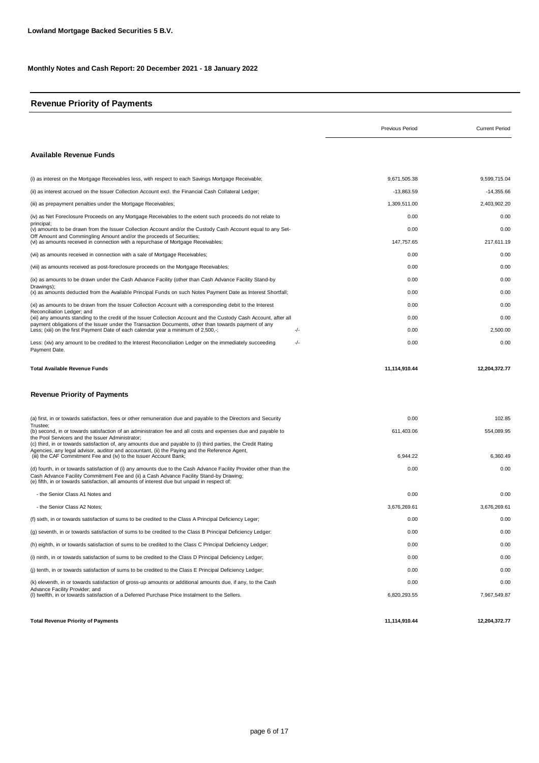### **Revenue Priority of Payments**

|                                                                                                                                                                                                                                                                                                               | <b>Previous Period</b> | <b>Current Period</b> |
|---------------------------------------------------------------------------------------------------------------------------------------------------------------------------------------------------------------------------------------------------------------------------------------------------------------|------------------------|-----------------------|
| Available Revenue Funds                                                                                                                                                                                                                                                                                       |                        |                       |
| (i) as interest on the Mortgage Receivables less, with respect to each Savings Mortgage Receivable;                                                                                                                                                                                                           | 9,671,505.38           | 9,599,715.04          |
| (ii) as interest accrued on the Issuer Collection Account excl. the Financial Cash Collateral Ledger;                                                                                                                                                                                                         | $-13,863.59$           | $-14,355.66$          |
| (iii) as prepayment penalties under the Mortgage Receivables;                                                                                                                                                                                                                                                 | 1,309,511.00           | 2,403,902.20          |
| (iv) as Net Foreclosure Proceeds on any Mortgage Receivables to the extent such proceeds do not relate to                                                                                                                                                                                                     | 0.00                   | 0.00                  |
| principal;<br>(v) amounts to be drawn from the Issuer Collection Account and/or the Custody Cash Account equal to any Set-                                                                                                                                                                                    | 0.00                   | 0.00                  |
| Off Amount and Commingling Amount and/or the proceeds of Securities;<br>(vi) as amounts received in connection with a repurchase of Mortgage Receivables;                                                                                                                                                     | 147,757.65             | 217,611.19            |
| (vii) as amounts received in connection with a sale of Mortgage Receivables;                                                                                                                                                                                                                                  | 0.00                   | 0.00                  |
| (viii) as amounts received as post-foreclosure proceeds on the Mortgage Receivables;                                                                                                                                                                                                                          | 0.00                   | 0.00                  |
| (ix) as amounts to be drawn under the Cash Advance Facility (other than Cash Advance Facility Stand-by                                                                                                                                                                                                        | 0.00                   | 0.00                  |
| Drawings);<br>(x) as amounts deducted from the Available Principal Funds on such Notes Payment Date as Interest Shortfall;                                                                                                                                                                                    | 0.00                   | 0.00                  |
| (xi) as amounts to be drawn from the Issuer Collection Account with a corresponding debit to the Interest                                                                                                                                                                                                     | 0.00                   | 0.00                  |
| Reconciliation Ledger; and<br>(xii) any amounts standing to the credit of the Issuer Collection Account and the Custody Cash Account, after all                                                                                                                                                               | 0.00                   | 0.00                  |
| payment obligations of the Issuer under the Transaction Documents, other than towards payment of any<br>Less; (xiii) on the first Payment Date of each calendar year a minimum of 2,500,-;<br>-/-                                                                                                             | 0.00                   | 2,500.00              |
| Less: (xiv) any amount to be credited to the Interest Reconciliation Ledger on the immediately succeeding<br>-/-<br>Payment Date.                                                                                                                                                                             | 0.00                   | 0.00                  |
| <b>Total Available Revenue Funds</b>                                                                                                                                                                                                                                                                          | 11,114,910.44          | 12,204,372.77         |
| <b>Revenue Priority of Payments</b>                                                                                                                                                                                                                                                                           |                        |                       |
| (a) first, in or towards satisfaction, fees or other remuneration due and payable to the Directors and Security                                                                                                                                                                                               | 0.00                   | 102.85                |
| Trustee:<br>(b) second, in or towards satisfaction of an administration fee and all costs and expenses due and payable to                                                                                                                                                                                     | 611,403.06             | 554,089.95            |
| the Pool Servicers and the Issuer Administrator;<br>(c) third, in or towards satisfaction of, any amounts due and payable to (i) third parties, the Credit Rating                                                                                                                                             |                        |                       |
| Agencies, any legal advisor, auditor and accountant, (ii) the Paying and the Reference Agent,<br>(iii) the CAF Commitment Fee and (iv) to the Issuer Account Bank;                                                                                                                                            | 6,944.22               | 6,360.49              |
| (d) fourth, in or towards satisfaction of (i) any amounts due to the Cash Advance Facility Provider other than the<br>Cash Advance Facility Commitment Fee and (ii) a Cash Advance Facility Stand-by Drawing;<br>(e) fifth, in or towards satisfaction, all amounts of interest due but unpaid in respect of: | 0.00                   | 0.00                  |
| - the Senior Class A1 Notes and                                                                                                                                                                                                                                                                               | 0.00                   | 0.00                  |
| - the Senior Class A2 Notes:                                                                                                                                                                                                                                                                                  | 3,676,269.61           | 3,676,269.61          |
| (f) sixth, in or towards satisfaction of sums to be credited to the Class A Principal Deficiency Leger;                                                                                                                                                                                                       | 0.00                   | 0.00                  |
| (g) seventh, in or towards satisfaction of sums to be credited to the Class B Principal Deficiency Ledger:                                                                                                                                                                                                    | 0.00                   | 0.00                  |
| (h) eighth, in or towards satisfaction of sums to be credited to the Class C Principal Deficiency Ledger;                                                                                                                                                                                                     | 0.00                   | 0.00                  |
| (i) ninth, in or towards satisfaction of sums to be credited to the Class D Principal Deficiency Ledger;                                                                                                                                                                                                      | 0.00                   | 0.00                  |
| (i) tenth, in or towards satisfaction of sums to be credited to the Class E Principal Deficiency Ledger;                                                                                                                                                                                                      | 0.00                   | 0.00                  |
| (k) eleventh, in or towards satisfaction of gross-up amounts or additional amounts due, if any, to the Cash                                                                                                                                                                                                   | 0.00                   | 0.00                  |
| Advance Facility Provider; and<br>(I) twelfth, in or towards satisfaction of a Deferred Purchase Price Instalment to the Sellers.                                                                                                                                                                             | 6,820,293.55           | 7,967,549.87          |
| <b>Total Revenue Priority of Payments</b>                                                                                                                                                                                                                                                                     | 11,114,910.44          | 12,204,372.77         |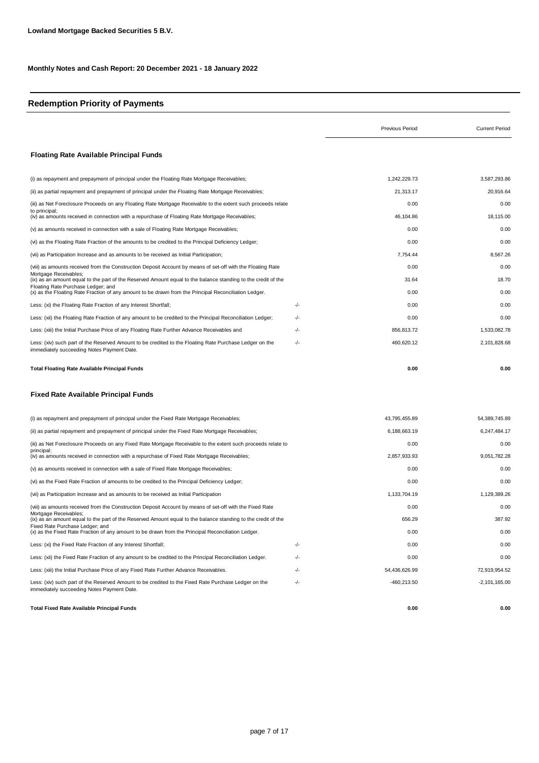### **Redemption Priority of Payments**

|                                                                                                                                                                           |     | <b>Previous Period</b> | <b>Current Period</b> |
|---------------------------------------------------------------------------------------------------------------------------------------------------------------------------|-----|------------------------|-----------------------|
| <b>Floating Rate Available Principal Funds</b>                                                                                                                            |     |                        |                       |
| (i) as repayment and prepayment of principal under the Floating Rate Mortgage Receivables;                                                                                |     | 1,242,229.73           | 3,587,293.86          |
| (ii) as partial repayment and prepayment of principal under the Floating Rate Mortgage Receivables;                                                                       |     | 21,313.17              | 20,916.64             |
| (iii) as Net Foreclosure Proceeds on any Floating Rate Mortgage Receivable to the extent such proceeds relate                                                             |     | 0.00                   | 0.00                  |
| to principal;<br>(iv) as amounts received in connection with a repurchase of Floating Rate Mortgage Receivables;                                                          |     | 46,104.86              | 18,115.00             |
| (v) as amounts received in connection with a sale of Floating Rate Mortgage Receivables;                                                                                  |     | 0.00                   | 0.00                  |
| (vi) as the Floating Rate Fraction of the amounts to be credited to the Principal Deficiency Ledger;                                                                      |     | 0.00                   | 0.00                  |
| (vii) as Participation Increase and as amounts to be received as Initial Participation;                                                                                   |     | 7,754.44               | 8,567.26              |
| (viii) as amounts received from the Construction Deposit Account by means of set-off with the Floating Rate                                                               |     | 0.00                   | 0.00                  |
| Mortgage Receivables;<br>(ix) as an amount equal to the part of the Reserved Amount equal to the balance standing to the credit of the                                    |     | 31.64                  | 18.70                 |
| Floating Rate Purchase Ledger; and<br>(x) as the Floating Rate Fraction of any amount to be drawn from the Principal Reconciliation Ledger.                               |     | 0.00                   | 0.00                  |
| Less: (xi) the Floating Rate Fraction of any Interest Shortfall;                                                                                                          | -/- | 0.00                   | 0.00                  |
| Less: (xii) the Floating Rate Fraction of any amount to be credited to the Principal Reconciliation Ledger;                                                               | -/- | 0.00                   | 0.00                  |
| Less: (xiii) the Initial Purchase Price of any Floating Rate Further Advance Receivables and                                                                              | -/- | 856,813.72             | 1,533,082.78          |
| Less: (xiv) such part of the Reserved Amount to be credited to the Floating Rate Purchase Ledger on the<br>immediately succeeding Notes Payment Date.                     | -/- | 460,620.12             | 2,101,828.68          |
| <b>Total Floating Rate Available Principal Funds</b>                                                                                                                      |     | 0.00                   | 0.00                  |
| <b>Fixed Rate Available Principal Funds</b>                                                                                                                               |     |                        |                       |
| (i) as repayment and prepayment of principal under the Fixed Rate Mortgage Receivables;                                                                                   |     | 43,795,455.89          | 54,389,745.89         |
| (ii) as partial repayment and prepayment of principal under the Fixed Rate Mortgage Receivables;                                                                          |     | 6,188,663.19           | 6,247,484.17          |
| (iii) as Net Foreclosure Proceeds on any Fixed Rate Mortgage Receivable to the extent such proceeds relate to                                                             |     | 0.00                   | 0.00                  |
| principal;<br>(iv) as amounts received in connection with a repurchase of Fixed Rate Mortgage Receivables;                                                                |     | 2,857,933.93           | 9,051,782.28          |
| (v) as amounts received in connection with a sale of Fixed Rate Mortgage Receivables;                                                                                     |     | 0.00                   | 0.00                  |
| (vi) as the Fixed Rate Fraction of amounts to be credited to the Principal Deficiency Ledger;                                                                             |     | 0.00                   | 0.00                  |
| (vii) as Participation Increase and as amounts to be received as Initial Participation                                                                                    |     | 1,133,704.19           | 1,129,389.26          |
| (viii) as amounts received from the Construction Deposit Account by means of set-off with the Fixed Rate                                                                  |     | 0.00                   | 0.00                  |
| Mortgage Receivables;<br>(ix) as an amount equal to the part of the Reserved Amount equal to the balance standing to the credit of the<br>Fixed Rate Purchase Ledger; and |     | 656.29                 | 387.92                |
| (x) as the Fixed Rate Fraction of any amount to be drawn from the Principal Reconciliation Ledger.                                                                        |     | 0.00                   | 0.00                  |
| Less: (xi) the Fixed Rate Fraction of any Interest Shortfall;                                                                                                             | -/- | 0.00                   | 0.00                  |
| Less: (xii) the Fixed Rate Fraction of any amount to be credited to the Principal Reconciliation Ledger.                                                                  | -/- | 0.00                   | 0.00                  |
| Less: (xiii) the Initial Purchase Price of any Fixed Rate Further Advance Receivables.                                                                                    | -/- | 54,436,626.99          | 72,919,954.52         |
| Less: (xiv) such part of the Reserved Amount to be credited to the Fixed Rate Purchase Ledger on the<br>immediately succeeding Notes Payment Date.                        | -/- | -460,213.50            | $-2,101,165.00$       |
| <b>Total Fixed Rate Available Principal Funds</b>                                                                                                                         |     | 0.00                   | 0.00                  |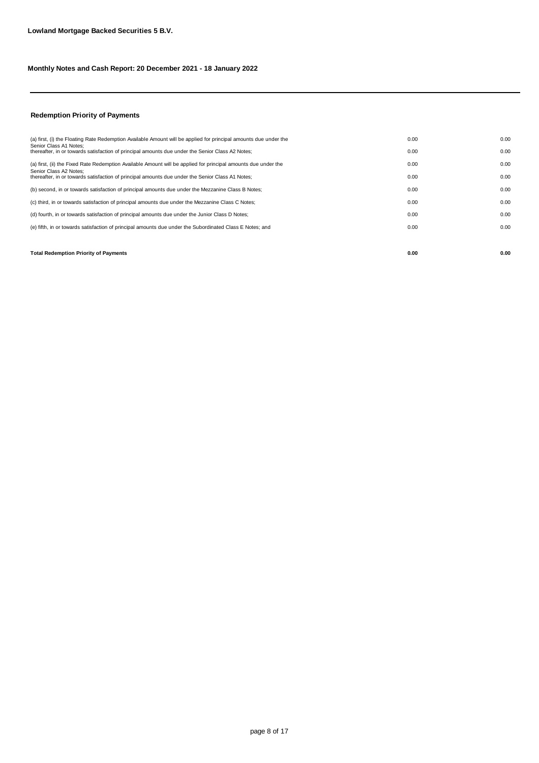#### **Redemption Priority of Payments**

| <b>Total Redemption Priority of Payments</b>                                                                               | 0.00 | 0.00 |
|----------------------------------------------------------------------------------------------------------------------------|------|------|
|                                                                                                                            |      |      |
| (e) fifth, in or towards satisfaction of principal amounts due under the Subordinated Class E Notes; and                   | 0.00 | 0.00 |
| (d) fourth, in or towards satisfaction of principal amounts due under the Junior Class D Notes;                            | 0.00 | 0.00 |
| (c) third, in or towards satisfaction of principal amounts due under the Mezzanine Class C Notes;                          | 0.00 | 0.00 |
| (b) second, in or towards satisfaction of principal amounts due under the Mezzanine Class B Notes;                         | 0.00 | 0.00 |
| Senior Class A2 Notes:<br>thereafter, in or towards satisfaction of principal amounts due under the Senior Class A1 Notes; | 0.00 | 0.00 |
| (a) first, (ii) the Fixed Rate Redemption Available Amount will be applied for principal amounts due under the             | 0.00 | 0.00 |
| Senior Class A1 Notes:<br>thereafter, in or towards satisfaction of principal amounts due under the Senior Class A2 Notes; | 0.00 | 0.00 |
| (a) first, (i) the Floating Rate Redemption Available Amount will be applied for principal amounts due under the           | 0.00 | 0.00 |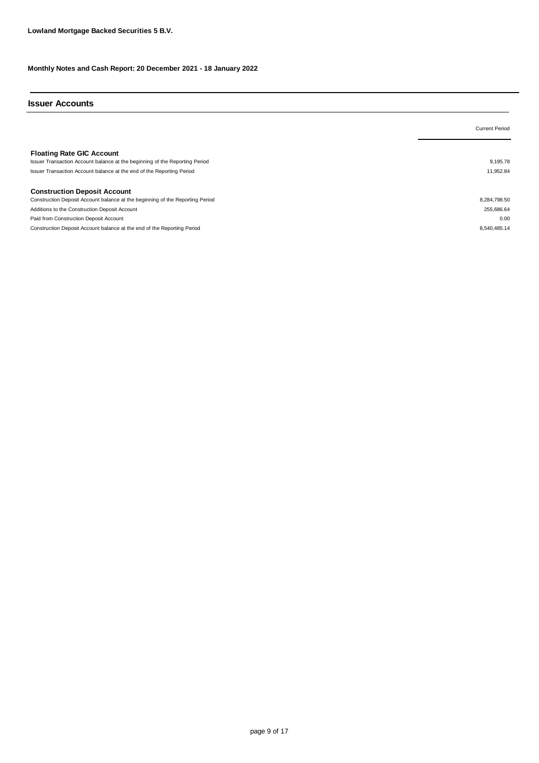#### **Issuer Accounts**

|                                                                                                                                                                                          | <b>Current Period</b> |
|------------------------------------------------------------------------------------------------------------------------------------------------------------------------------------------|-----------------------|
| <b>Floating Rate GIC Account</b><br>Issuer Transaction Account balance at the beginning of the Reporting Period<br>Issuer Transaction Account balance at the end of the Reporting Period | 9.195.78<br>11,952.84 |
| <b>Construction Deposit Account</b>                                                                                                                                                      |                       |
| Construction Deposit Account balance at the beginning of the Reporting Period                                                                                                            | 8,284,798.50          |
| Additions to the Construction Deposit Account                                                                                                                                            | 255,686.64            |
| Paid from Construction Deposit Account                                                                                                                                                   | 0.00                  |
| Construction Deposit Account balance at the end of the Reporting Period                                                                                                                  | 8,540,485.14          |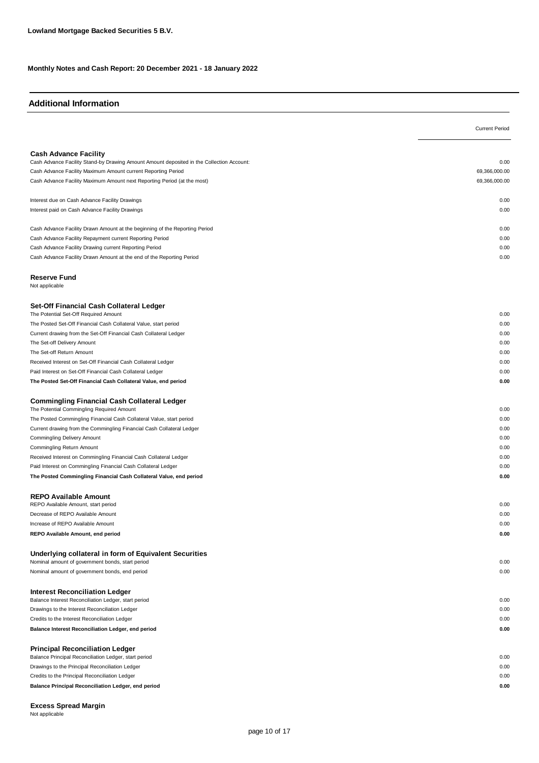#### **Additional Information**

|                                                                                                                            | <b>Current Period</b> |
|----------------------------------------------------------------------------------------------------------------------------|-----------------------|
|                                                                                                                            |                       |
| <b>Cash Advance Facility</b>                                                                                               |                       |
| Cash Advance Facility Stand-by Drawing Amount Amount deposited in the Collection Account:                                  | 0.00                  |
| Cash Advance Facility Maximum Amount current Reporting Period                                                              | 69,366,000.00         |
| Cash Advance Facility Maximum Amount next Reporting Period (at the most)                                                   | 69,366,000.00         |
| Interest due on Cash Advance Facility Drawings                                                                             | 0.00                  |
| Interest paid on Cash Advance Facility Drawings                                                                            | 0.00                  |
| Cash Advance Facility Drawn Amount at the beginning of the Reporting Period                                                | 0.00                  |
| Cash Advance Facility Repayment current Reporting Period                                                                   | 0.00                  |
| Cash Advance Facility Drawing current Reporting Period                                                                     | 0.00                  |
| Cash Advance Facility Drawn Amount at the end of the Reporting Period                                                      | 0.00                  |
| <b>Reserve Fund</b>                                                                                                        |                       |
| Not applicable                                                                                                             |                       |
| Set-Off Financial Cash Collateral Ledger                                                                                   |                       |
| The Potential Set-Off Required Amount                                                                                      | 0.00                  |
| The Posted Set-Off Financial Cash Collateral Value, start period                                                           | 0.00                  |
| Current drawing from the Set-Off Financial Cash Collateral Ledger                                                          | 0.00                  |
| The Set-off Delivery Amount                                                                                                | 0.00                  |
| The Set-off Return Amount                                                                                                  | 0.00                  |
| Received Interest on Set-Off Financial Cash Collateral Ledger<br>Paid Interest on Set-Off Financial Cash Collateral Ledger | 0.00<br>0.00          |
| The Posted Set-Off Financial Cash Collateral Value, end period                                                             | 0.00                  |
|                                                                                                                            |                       |
| <b>Commingling Financial Cash Collateral Ledger</b><br>The Potential Commingling Required Amount                           | 0.00                  |
| The Posted Commingling Financial Cash Collateral Value, start period                                                       | 0.00                  |
| Current drawing from the Commingling Financial Cash Collateral Ledger                                                      | 0.00                  |
| Commingling Delivery Amount                                                                                                | 0.00                  |
| Commingling Return Amount                                                                                                  | 0.00                  |
| Received Interest on Commingling Financial Cash Collateral Ledger                                                          | 0.00                  |
| Paid Interest on Commingling Financial Cash Collateral Ledger                                                              | 0.00                  |
| The Posted Commingling Financial Cash Collateral Value, end period                                                         | 0.00                  |
| <b>REPO Available Amount</b>                                                                                               |                       |
| REPO Available Amount, start period                                                                                        | 0.00                  |
| Decrease of REPO Available Amount                                                                                          | 0.00                  |
| Increase of REPO Available Amount                                                                                          | 0.00                  |
| REPO Available Amount, end period                                                                                          | 0.00                  |
| Underlying collateral in form of Equivalent Securities<br>Nominal amount of government bonds, start period                 | 0.00                  |
| Nominal amount of government bonds, end period                                                                             | 0.00                  |
|                                                                                                                            |                       |
| <b>Interest Reconciliation Ledger</b><br>Balance Interest Reconciliation Ledger, start period                              | 0.00                  |
| Drawings to the Interest Reconciliation Ledger                                                                             | 0.00                  |
| Credits to the Interest Reconciliation Ledger                                                                              | 0.00                  |
| Balance Interest Reconciliation Ledger, end period                                                                         | 0.00                  |
| <b>Principal Reconciliation Ledger</b>                                                                                     |                       |
| Balance Principal Reconciliation Ledger, start period                                                                      | 0.00                  |
| Drawings to the Principal Reconciliation Ledger                                                                            | 0.00                  |
| Credits to the Principal Reconciliation Ledger                                                                             | 0.00                  |
| Balance Principal Reconciliation Ledger, end period                                                                        | 0.00                  |
|                                                                                                                            |                       |

Not applicable **Excess Spread Margin**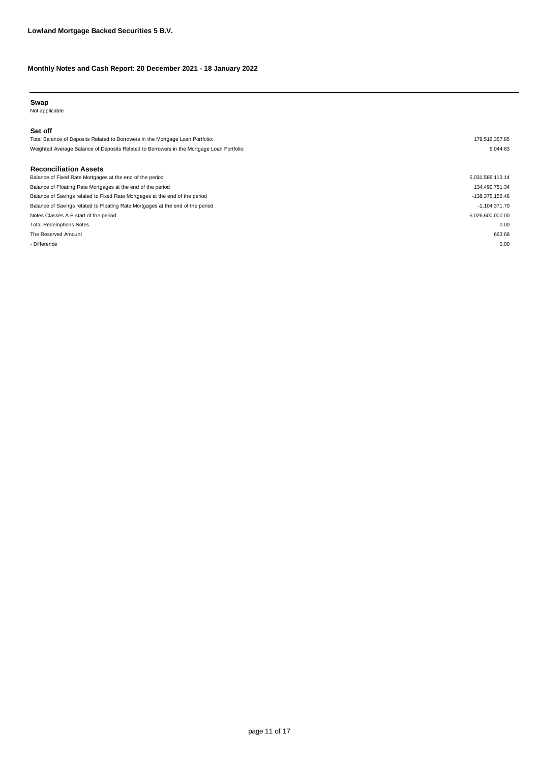#### **Swap**

Not applicable

#### **Set off**

Total Balance of Deposits Related to Borrowers in the Mortgage Loan Portfolio: 179,516,357.85 Weighted Average Balance of Deposits Related to Borrowers in the Mortgage Loan Portfolio: 6,044.63

#### **Reconciliation Assets**

| Balance of Fixed Rate Mortgages at the end of the period                       | 5,031,588,113.14    |
|--------------------------------------------------------------------------------|---------------------|
| Balance of Floating Rate Mortgages at the end of the period                    | 134,490,751.34      |
| Balance of Savings related to Fixed Rate Mortgages at the end of the period    | -138,375,156.46     |
| Balance of Savings related to Floating Rate Mortgages at the end of the period | $-1,104,371.70$     |
| Notes Classes A-E start of the period                                          | $-5,026,600,000.00$ |
| <b>Total Redemptions Notes</b>                                                 | 0.00                |
| The Reserved Amount                                                            | 663.68              |
| - Difference                                                                   | 0.00                |
|                                                                                |                     |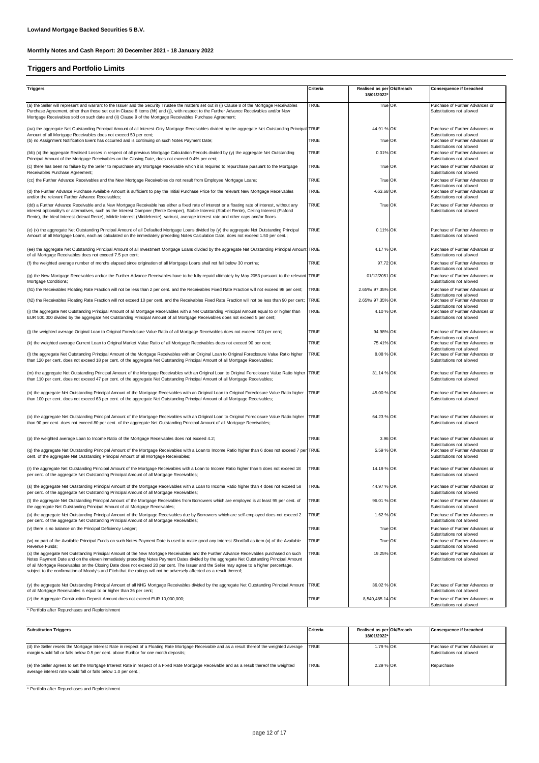### **Triggers and Portfolio Limits**

| <b>Triggers</b>                                                                                                                                                                                                                                                                                                                                                                                                                                                                                                                                           | Criteria    | Realised as per Ok/Breach<br>18/01/2022 | Consequence if breached                                                                   |
|-----------------------------------------------------------------------------------------------------------------------------------------------------------------------------------------------------------------------------------------------------------------------------------------------------------------------------------------------------------------------------------------------------------------------------------------------------------------------------------------------------------------------------------------------------------|-------------|-----------------------------------------|-------------------------------------------------------------------------------------------|
| (a) the Seller will represent and warrant to the Issuer and the Security Trustee the matters set out in (i) Clause 8 of the Mortgage Receivables<br>Purchase Agreement, other than those set out in Clause 8 items (hh) and (jj), with respect to the Further Advance Receivables and/or New<br>Mortgage Receivables sold on such date and (ii) Clause 9 of the Mortgage Receivables Purchase Agreement;                                                                                                                                                  | TRUE        | True OK                                 | Purchase of Further Advances or<br>Substitutions not allowed                              |
| (aa) the aggregate Net Outstanding Principal Amount of all Interest-Only Mortgage Receivables divided by the aggregate Net Outstanding Principal TRUE<br>Amount of all Mortgage Receivables does not exceed 50 per cent;                                                                                                                                                                                                                                                                                                                                  |             | 44.91 % OK                              | Purchase of Further Advances or<br>Substitutions not allowed                              |
| (b) no Assignment Notification Event has occurred and is continuing on such Notes Payment Date;                                                                                                                                                                                                                                                                                                                                                                                                                                                           | <b>TRUE</b> | True OK                                 | Purchase of Further Advances or<br>Substitutions not allowed                              |
| (bb) (x) the aggregate Realised Losses in respect of all previous Mortgage Calculation Periods divided by (y) the aggregate Net Outstanding<br>Principal Amount of the Mortgage Receivables on the Closing Date, does not exceed 0.4% per cent;                                                                                                                                                                                                                                                                                                           | <b>TRUE</b> | 0.01% OK                                | Purchase of Further Advances or<br>Substitutions not allowed                              |
| (c) there has been no failure by the Seller to repurchase any Mortgage Receivable which it is required to repurchase pursuant to the Mortgage<br>Receivables Purchase Agreement;                                                                                                                                                                                                                                                                                                                                                                          | <b>TRUE</b> | True OK                                 | Purchase of Further Advances or<br>Substitutions not allowed                              |
| (cc) the Further Advance Receivables and the New Mortgage Receivables do not result from Employee Mortgage Loans;                                                                                                                                                                                                                                                                                                                                                                                                                                         | <b>TRUE</b> | True OK                                 | Purchase of Further Advances or<br>Substitutions not allowed                              |
| (d) the Further Advance Purchase Available Amount is sufficient to pay the Initial Purchase Price for the relevant New Mortgage Receivables<br>and/or the relevant Further Advance Receivables;                                                                                                                                                                                                                                                                                                                                                           | <b>TRUE</b> | $-663.68$ OK                            | Purchase of Further Advances or<br>Substitutions not allowed                              |
| (dd) a Further Advance Receivable and a New Mortgage Receivable has either a fixed rate of interest or a floating rate of interest, without any<br>interest optionality's or alternatives, such as the Interest Dampner (Rente Demper), Stable Interest (Stabiel Rente), Ceiling Interest (Plafond<br>Rente), the Ideal Interest (Ideaal Rente), Middle Interest (Middelrente), varirust, average interest rate and other caps and/or floors.                                                                                                             | <b>TRUE</b> | True OK                                 | Purchase of Further Advances or<br>Substitutions not allowed                              |
| (e) (x) the aggregate Net Outstanding Principal Amount of all Defaulted Mortgage Loans divided by (y) the aggregate Net Outstanding Principal<br>Amount of all Mortgage Loans, each as calculated on the immediately preceding Notes Calculation Date, does not exceed 1.50 per cent.;                                                                                                                                                                                                                                                                    | <b>TRUE</b> | 0.11% OK                                | Purchase of Further Advances or<br>Substitutions not allowed                              |
| (ee) the aggregate Net Outstanding Principal Amount of all Investment Mortgage Loans divided by the aggregate Net Outstanding Principal Amount TRUE<br>of all Mortgage Receivables does not exceed 7.5 per cent;                                                                                                                                                                                                                                                                                                                                          |             | 4.17 % OK                               | Purchase of Further Advances or<br>Substitutions not allowed                              |
| (f) the weighted average number of months elapsed since origination of all Mortgage Loans shall not fall below 30 months;                                                                                                                                                                                                                                                                                                                                                                                                                                 | <b>TRUE</b> | 97.72 OK                                | Purchase of Further Advances or<br>Substitutions not allowed                              |
| (q) the New Mortgage Receivables and/or the Further Advance Receivables have to be fully repaid ultimately by May 2053 pursuant to the relevant TRUE<br>Mortgage Conditions;                                                                                                                                                                                                                                                                                                                                                                              |             | 01/12/2051 OK                           | Purchase of Further Advances or<br>Substitutions not allowed                              |
| (h1) the Receivables Floating Rate Fraction will not be less than 2 per cent. and the Receivables Fixed Rate Fraction will not exceed 98 per cent;                                                                                                                                                                                                                                                                                                                                                                                                        | <b>TRUE</b> | 2.65%/ 97.35% OK                        | Purchase of Further Advances or<br>Substitutions not allowed                              |
| (h2) the Receivables Floating Rate Fraction will not exceed 10 per cent. and the Receivables Fixed Rate Fraction will not be less than 90 per cent; TRUE                                                                                                                                                                                                                                                                                                                                                                                                  |             | 2.65%/ 97.35% OK                        | Purchase of Further Advances or<br>Substitutions not allowed                              |
| (i) the aggregate Net Outstanding Principal Amount of all Mortgage Receivables with a Net Outstanding Principal Amount equal to or higher than<br>EUR 500,000 divided by the aggregate Net Outstanding Principal Amount of all Mortgage Receivables does not exceed 5 per cent;                                                                                                                                                                                                                                                                           | <b>TRUE</b> | 4.10 % OK                               | Purchase of Further Advances or<br>Substitutions not allowed                              |
| (j) the weighted average Original Loan to Original Foreclosure Value Ratio of all Mortgage Receivables does not exceed 103 per cent;                                                                                                                                                                                                                                                                                                                                                                                                                      | <b>TRUE</b> | 94.98% OK                               | Purchase of Further Advances or                                                           |
| (k) the weighted average Current Loan to Original Market Value Ratio of all Mortgage Receivables does not exceed 90 per cent;                                                                                                                                                                                                                                                                                                                                                                                                                             | <b>TRUE</b> | 75.41% OK                               | Substitutions not allowed<br>Purchase of Further Advances or                              |
| (I) the aggregate Net Outstanding Principal Amount of the Mortgage Receivables with an Original Loan to Original Foreclosure Value Ratio higher<br>than 120 per cent. does not exceed 18 per cent. of the aggregate Net Outstanding Principal Amount of all Mortgage Receivables;                                                                                                                                                                                                                                                                         | <b>TRUE</b> | 8.08 % OK                               | Substitutions not allowed<br>Purchase of Further Advances or<br>Substitutions not allowed |
| (m) the aggregate Net Outstanding Principal Amount of the Mortgage Receivables with an Original Loan to Original Foreclosure Value Ratio higher TRUE<br>than 110 per cent. does not exceed 47 per cent. of the aggregate Net Outstanding Principal Amount of all Mortgage Receivables;                                                                                                                                                                                                                                                                    |             | 31.14 % OK                              | Purchase of Further Advances or<br>Substitutions not allowed                              |
| (n) the aggregate Net Outstanding Principal Amount of the Mortgage Receivables with an Original Loan to Original Foreclosure Value Ratio higher<br>than 100 per cent. does not exceed 63 per cent. of the aggregate Net Outstanding Principal Amount of all Mortgage Receivables;                                                                                                                                                                                                                                                                         | <b>TRUE</b> | 45.00 % OK                              | Purchase of Further Advances or<br>Substitutions not allowed                              |
| (o) the aggregate Net Outstanding Principal Amount of the Mortgage Receivables with an Original Loan to Original Foreclosure Value Ratio higher<br>than 90 per cent. does not exceed 80 per cent. of the aggregate Net Outstanding Principal Amount of all Mortgage Receivables;                                                                                                                                                                                                                                                                          | <b>TRUE</b> | 64.23 % OK                              | Purchase of Further Advances or<br>Substitutions not allowed                              |
| (p) the weighted average Loan to Income Ratio of the Mortgage Receivables does not exceed 4.2;                                                                                                                                                                                                                                                                                                                                                                                                                                                            | <b>TRUE</b> | 3.96 OK                                 | Purchase of Further Advances or                                                           |
| (q) the aggregate Net Outstanding Principal Amount of the Mortgage Receivables with a Loan to Income Ratio higher than 6 does not exceed 7 per TRUE<br>cent. of the aggregate Net Outstanding Principal Amount of all Mortgage Receivables;                                                                                                                                                                                                                                                                                                               |             | 5.59 % OK                               | Substitutions not allowed<br>Purchase of Further Advances or<br>Substitutions not allowed |
| (r) the aggregate Net Outstanding Principal Amount of the Mortgage Receivables with a Loan to Income Ratio higher than 5 does not exceed 18<br>per cent. of the aggregate Net Outstanding Principal Amount of all Mortgage Receivables;                                                                                                                                                                                                                                                                                                                   | <b>TRUE</b> | 14.19 % OK                              | Purchase of Further Advances or<br>Substitutions not allowed                              |
| (s) the aggregate Net Outstanding Principal Amount of the Mortgage Receivables with a Loan to Income Ratio higher than 4 does not exceed 58<br>per cent. of the aggregate Net Outstanding Principal Amount of all Mortgage Receivables;                                                                                                                                                                                                                                                                                                                   |             | 44.97 % OK                              | Purchase of Further Advances or<br>Substitutions not allowed                              |
| (t) the aggregate Net Outstanding Principal Amount of the Mortgage Receivables from Borrowers which are employed is at least 95 per cent. of<br>the aggregate Net Outstanding Principal Amount of all Mortgage Receivables;                                                                                                                                                                                                                                                                                                                               | <b>TRUE</b> | 96.01 % OK                              | Purchase of Further Advances or<br>Substitutions not allowed                              |
| (u) the aggregate Net Outstanding Principal Amount of the Mortgage Receivables due by Borrowers which are self-employed does not exceed 2<br>per cent. of the aggregate Net Outstanding Principal Amount of all Mortgage Receivables;                                                                                                                                                                                                                                                                                                                     | <b>TRUE</b> | 1.62 % OK                               | Purchase of Further Advances or<br>Substitutions not allowed                              |
| (v) there is no balance on the Principal Deficiency Ledger;                                                                                                                                                                                                                                                                                                                                                                                                                                                                                               | <b>TRUE</b> | True OK                                 | Purchase of Further Advances or<br>Substitutions not allowed                              |
| (w) no part of the Available Principal Funds on such Notes Payment Date is used to make good any Interest Shortfall as item (x) of the Available<br>Revenue Funds;                                                                                                                                                                                                                                                                                                                                                                                        | TRUE        | True OK                                 | Purchase of Further Advances or<br>Substitutions not allowed                              |
| (x) the aggregate Net Outstanding Principal Amount of the New Mortgage Receivables and the Further Advance Receivables purchased on such<br>Notes Payment Date and on the eleven immediately preceding Notes Payment Dates divided by the aggregate Net Outstanding Principal Amount<br>of all Mortgage Receivables on the Closing Date does not exceed 20 per cent. The Issuer and the Seller may agree to a higher percentage,<br>subject to the confirmation of Moody's and Fitch that the ratings will not be adversely affected as a result thereof; | TRUE        | 19.25% OK                               | Purchase of Further Advances or<br>Substitutions not allowed                              |
| (y) the aggregate Net Outstanding Principal Amount of all NHG Mortgage Receivables divided by the aggregate Net Outstanding Principal Amount<br>of all Mortgage Receivables is equal to or higher than 36 per cent;                                                                                                                                                                                                                                                                                                                                       | <b>TRUE</b> | 36.02 % OK                              | Purchase of Further Advances or<br>Substitutions not allowed                              |
| (z) the Aggregate Construction Deposit Amount does not exceed EUR 10,000,000;                                                                                                                                                                                                                                                                                                                                                                                                                                                                             | <b>TRUE</b> | 8,540,485.14 OK                         | Purchase of Further Advances or                                                           |
| * Portfolio after Repurchases and Replenishment                                                                                                                                                                                                                                                                                                                                                                                                                                                                                                           |             |                                         | Substitutions not allowed                                                                 |

| <b>Substitution Triggers</b>                                                                                                                                                                                  | <b>Criteria</b> | Realised as per Ok/Breach<br>18/01/2022* | <b>Consequence if breached</b>  |
|---------------------------------------------------------------------------------------------------------------------------------------------------------------------------------------------------------------|-----------------|------------------------------------------|---------------------------------|
| (d) the Seller resets the Mortgage Interest Rate in respect of a Floating Rate Mortgage Receivable and as a result thereof the weighted average                                                               | <b>TRUE</b>     | 1.79 % OK                                | Purchase of Further Advances or |
| margin would fall or falls below 0.5 per cent. above Euribor for one month deposits;                                                                                                                          |                 |                                          | Substitutions not allowed       |
| (e) the Seller agrees to set the Mortgage Interest Rate in respect of a Fixed Rate Mortgage Receivable and as a result thereof the weighted<br>average interest rate would fall or falls below 1.0 per cent.; | <b>TRUE</b>     | 2.29 % OK                                | Repurchase                      |

\* Portfolio after Repurchases and Replenishment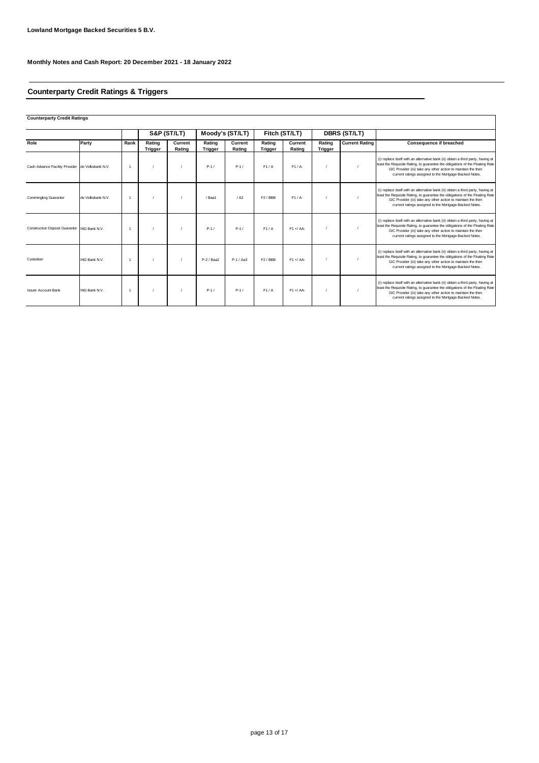### **Counterparty Credit Ratings & Triggers**

**Counterparty Credit Ratings**

|                                                  |                      |      |                          | S&P (ST/LT)       |                          | Moody's (ST/LT)   |                          | Fitch (ST/LT)     | DBRS (ST/LT)             |                       |                                                                                                                                                                                                                                                                                              |
|--------------------------------------------------|----------------------|------|--------------------------|-------------------|--------------------------|-------------------|--------------------------|-------------------|--------------------------|-----------------------|----------------------------------------------------------------------------------------------------------------------------------------------------------------------------------------------------------------------------------------------------------------------------------------------|
| Role                                             | Party                | Rank | Rating<br><b>Trigger</b> | Current<br>Rating | Rating<br><b>Trigger</b> | Current<br>Rating | Rating<br><b>Trigger</b> | Current<br>Rating | Rating<br><b>Trigger</b> | <b>Current Rating</b> | <b>Consequence if breached</b>                                                                                                                                                                                                                                                               |
| Cash Advance Facility Provider de Volksbank N.V. |                      |      |                          |                   | $P-1/$                   | $P-1/$            | F1/A                     | $F1/A-$           |                          |                       | (i) replace itself with an alternative bank (ii) obtain a third party, having at<br>least the Requisite Rating, to guarantee the obligations of the Floating Rate<br>GIC Provider (iii) take any other action to maintain the then<br>current ratings assigned to the Mortgage-Backed Notes. |
| <b>Commingling Guarantor</b>                     | de Volksbank N.V.    |      |                          |                   | / Baa1                   | / A2              | F <sub>2</sub> /BBB      | $F1/A-$           |                          |                       | (i) replace itself with an alternative bank (ii) obtain a third party, having at<br>least the Requisite Rating, to guarantee the obligations of the Floating Rate<br>GIC Provider (iii) take any other action to maintain the then<br>current ratings assigned to the Mortgage-Backed Notes. |
| Construction Deposit Guarantor ING Bank N.V.     |                      |      |                          |                   | $P-1/$                   | $P-1/$            | F1/A                     | $F1 + A$          |                          |                       | (i) replace itself with an alternative bank (ii) obtain a third party, having at<br>least the Requisite Rating, to guarantee the obligations of the Floating Rate<br>GIC Provider (iii) take any other action to maintain the then<br>current ratings assigned to the Mortgage-Backed Notes. |
| Custodian                                        | <b>ING Bank N.V.</b> |      |                          |                   | P-2 / Baa2               | $P-1/AA3$         | F <sub>2</sub> /BBB      | $F1 + A$          |                          |                       | (i) replace itself with an alternative bank (ii) obtain a third party, having at<br>least the Requisite Rating, to quarantee the obligations of the Floating Rate<br>GIC Provider (iii) take any other action to maintain the then<br>current ratings assigned to the Mortgage-Backed Notes. |
| <b>Issuer Account Bank</b>                       | ING Bank N.V.        |      |                          |                   | $P-1/$                   | $P-1/$            | F1/A                     | $F1 + A$          |                          |                       | (i) replace itself with an alternative bank (ii) obtain a third party, having at<br>least the Requisite Rating, to guarantee the obligations of the Floating Rate<br>GIC Provider (iii) take any other action to maintain the then<br>current ratings assigned to the Mortgage-Backed Notes. |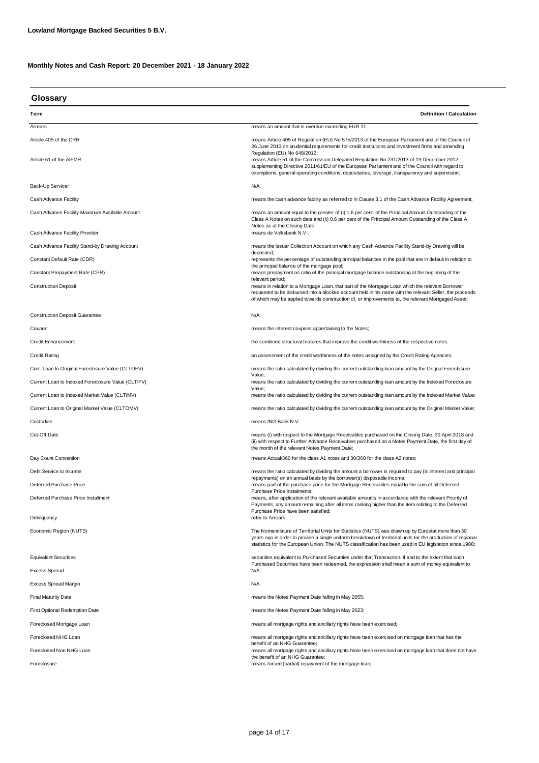| Glossary                                           |                                                                                                                                                                                                                                                                                                                                                                                                                                                                                                                                         |  |  |  |
|----------------------------------------------------|-----------------------------------------------------------------------------------------------------------------------------------------------------------------------------------------------------------------------------------------------------------------------------------------------------------------------------------------------------------------------------------------------------------------------------------------------------------------------------------------------------------------------------------------|--|--|--|
| Term                                               | <b>Definition / Calculation</b>                                                                                                                                                                                                                                                                                                                                                                                                                                                                                                         |  |  |  |
| Arrears                                            | means an amount that is overdue exceeding EUR 11;                                                                                                                                                                                                                                                                                                                                                                                                                                                                                       |  |  |  |
| Article 405 of the CRR<br>Article 51 of the AIFMR  | means Article 405 of Regulation (EU) No 575/2013 of the European Parliament and of the Council of<br>26 June 2013 on prudential requirements for credit institutions and investment firms and amending<br>Regulation (EU) No 648/2012;<br>means Article 51 of the Commission Delegated Regulation No 231/2013 of 19 December 2012<br>supplementing Directive 2011/61/EU of the European Parliament and of the Council with regard to<br>exemptions, general operating conditions, depositaries, leverage, transparency and supervision; |  |  |  |
| Back-Up Servicer                                   | $N/A$ ;                                                                                                                                                                                                                                                                                                                                                                                                                                                                                                                                 |  |  |  |
| Cash Advance Facility                              | means the cash advance facility as referred to in Clause 3.1 of the Cash Advance Facility Agreement;                                                                                                                                                                                                                                                                                                                                                                                                                                    |  |  |  |
| Cash Advance Facility Maximum Available Amount     | means an amount equal to the greater of (i) 1.6 per cent. of the Principal Amount Outstanding of the<br>Class A Notes on such date and (ii) 0.6 per cent of the Principal Amount Outstanding of the Class A<br>Notes as at the Closing Date.                                                                                                                                                                                                                                                                                            |  |  |  |
| Cash Advance Facility Provider                     | means de Volksbank N.V.;                                                                                                                                                                                                                                                                                                                                                                                                                                                                                                                |  |  |  |
| Cash Advance Facility Stand-by Drawing Account     | means the Issuer Collection Account on which any Cash Advance Facility Stand-by Drawing will be<br>deposited;                                                                                                                                                                                                                                                                                                                                                                                                                           |  |  |  |
| Constant Default Rate (CDR)                        | represents the percentage of outstanding principal balances in the pool that are in default in relation to<br>the principal balance of the mortgage pool;                                                                                                                                                                                                                                                                                                                                                                               |  |  |  |
| Constant Prepayment Rate (CPR)                     | means prepayment as ratio of the principal mortgage balance outstanding at the beginning of the<br>relevant period;                                                                                                                                                                                                                                                                                                                                                                                                                     |  |  |  |
| <b>Construction Deposit</b>                        | means in relation to a Mortgage Loan, that part of the Mortgage Loan which the relevant Borrower<br>requested to be disbursed into a blocked account held in his name with the relevant Seller, the proceeds<br>of which may be applied towards construction of, or improvements to, the relevant Mortgaged Asset;                                                                                                                                                                                                                      |  |  |  |
| <b>Construction Deposit Guarantee</b>              | N/A;                                                                                                                                                                                                                                                                                                                                                                                                                                                                                                                                    |  |  |  |
| Coupon                                             | means the interest coupons appertaining to the Notes;                                                                                                                                                                                                                                                                                                                                                                                                                                                                                   |  |  |  |
| <b>Credit Enhancement</b>                          | the combined structural features that improve the credit worthiness of the respective notes.                                                                                                                                                                                                                                                                                                                                                                                                                                            |  |  |  |
| <b>Credit Rating</b>                               | an assessment of the credit worthiness of the notes assigned by the Credit Rating Agencies;                                                                                                                                                                                                                                                                                                                                                                                                                                             |  |  |  |
| Curr. Loan to Original Foreclosure Value (CLTOFV)  | means the ratio calculated by dividing the current outstanding loan amount by the Orignal Foreclosure                                                                                                                                                                                                                                                                                                                                                                                                                                   |  |  |  |
| Current Loan to Indexed Foreclosure Value (CLTIFV) | Value;<br>means the ratio calculated by dividing the current outstanding loan amount by the Indexed Foreclosure                                                                                                                                                                                                                                                                                                                                                                                                                         |  |  |  |
| Current Loan to Indexed Market Value (CLTIMV)      | Value;<br>means the ratio calculated by dividing the current outstanding loan amount by the Indexed Market Value;                                                                                                                                                                                                                                                                                                                                                                                                                       |  |  |  |
| Current Loan to Original Market Value (CLTOMV)     | means the ratio calculated by dividing the current outstanding loan amount by the Original Market Value;                                                                                                                                                                                                                                                                                                                                                                                                                                |  |  |  |
| Custodian                                          | means ING Bank N.V.                                                                                                                                                                                                                                                                                                                                                                                                                                                                                                                     |  |  |  |
| Cut-Off Date                                       | means (i) with respect to the Mortgage Receivables purchased on the Closing Date, 30 April 2018 and<br>(ii) with respect to Further Advance Receivables purchased on a Notes Payment Date, the first day of<br>the month of the relevant Notes Payment Date;                                                                                                                                                                                                                                                                            |  |  |  |
| Day Count Convention                               | means Actual/360 for the class A1 notes and 30/360 for the class A2 notes;                                                                                                                                                                                                                                                                                                                                                                                                                                                              |  |  |  |
| Debt Service to Income                             | means the ratio calculated by dividing the amount a borrower is required to pay (in interest and principal                                                                                                                                                                                                                                                                                                                                                                                                                              |  |  |  |
| Deferred Purchase Price                            | repayments) on an annual basis by the borrower(s) disposable income;<br>means part of the purchase price for the Mortgage Receivables equal to the sum of all Deferred                                                                                                                                                                                                                                                                                                                                                                  |  |  |  |
| Deferred Purchase Price Installment                | Purchase Price Instalments;<br>means, after application of the relevant available amounts in accordance with the relevant Priority of<br>Payments, any amount remaining after all items ranking higher than the item relating to the Deferred<br>Purchase Price have been satisfied;                                                                                                                                                                                                                                                    |  |  |  |
| Delinquency                                        | refer to Arrears:                                                                                                                                                                                                                                                                                                                                                                                                                                                                                                                       |  |  |  |
| Economic Region (NUTS)                             | The Nomenclature of Territorial Units for Statistics (NUTS) was drawn up by Eurostat more than 30<br>years ago in order to provide a single uniform breakdown of territorial units for the production of regional<br>statistics for the European Union. The NUTS classification has been used in EU legislation since 1988;                                                                                                                                                                                                             |  |  |  |
| <b>Equivalent Securities</b>                       | securities equivalent to Purchased Securities under that Transaction. If and to the extent that such<br>Purchased Securities have been redeemed, the expression shall mean a sum of money equivalent to                                                                                                                                                                                                                                                                                                                                 |  |  |  |
| <b>Excess Spread</b>                               | N/A;                                                                                                                                                                                                                                                                                                                                                                                                                                                                                                                                    |  |  |  |
| <b>Excess Spread Margin</b>                        | N/A;                                                                                                                                                                                                                                                                                                                                                                                                                                                                                                                                    |  |  |  |
| <b>Final Maturity Date</b>                         | means the Notes Payment Date falling in May 2055;                                                                                                                                                                                                                                                                                                                                                                                                                                                                                       |  |  |  |
| First Optional Redemption Date                     | means the Notes Payment Date falling in May 2023;                                                                                                                                                                                                                                                                                                                                                                                                                                                                                       |  |  |  |
| Foreclosed Mortgage Loan                           | means all mortgage rights and ancillary rights have been exercised;                                                                                                                                                                                                                                                                                                                                                                                                                                                                     |  |  |  |
| Foreclosed NHG Loan                                | means all mortgage rights and ancillary rights have been exercised on mortgage loan that has the<br>benefit of an NHG Guarantee;                                                                                                                                                                                                                                                                                                                                                                                                        |  |  |  |
| Foreclosed Non NHG Loan                            | means all mortgage rights and ancillary rights have been exercised on mortgage loan that does not have<br>the benefit of an NHG Guarantee;                                                                                                                                                                                                                                                                                                                                                                                              |  |  |  |
| Foreclosure                                        | means forced (partial) repayment of the mortgage loan;                                                                                                                                                                                                                                                                                                                                                                                                                                                                                  |  |  |  |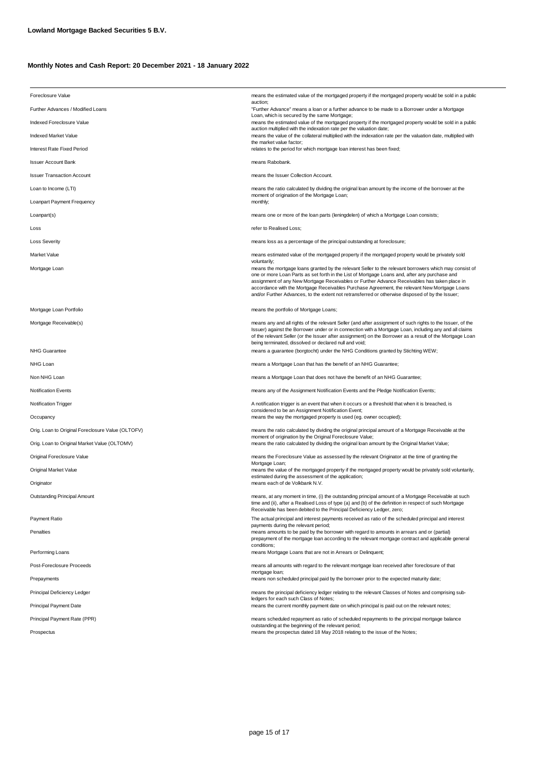| Foreclosure Value                                 | means the estimated value of the mortgaged property if the mortgaged property would be sold in a public                                                                                                                                                                                                                                                                                                                                                                                                                     |
|---------------------------------------------------|-----------------------------------------------------------------------------------------------------------------------------------------------------------------------------------------------------------------------------------------------------------------------------------------------------------------------------------------------------------------------------------------------------------------------------------------------------------------------------------------------------------------------------|
| Further Advances / Modified Loans                 | auction;<br>"Further Advance" means a loan or a further advance to be made to a Borrower under a Mortgage                                                                                                                                                                                                                                                                                                                                                                                                                   |
| Indexed Foreclosure Value                         | Loan, which is secured by the same Mortgage;<br>means the estimated value of the mortgaged property if the mortgaged property would be sold in a public                                                                                                                                                                                                                                                                                                                                                                     |
| Indexed Market Value                              | auction multiplied with the indexation rate per the valuation date;<br>means the value of the collateral multiplied with the indexation rate per the valuation date, multiplied with                                                                                                                                                                                                                                                                                                                                        |
| Interest Rate Fixed Period                        | the market value factor;<br>relates to the period for which mortgage loan interest has been fixed;                                                                                                                                                                                                                                                                                                                                                                                                                          |
| <b>Issuer Account Bank</b>                        | means Rabobank.                                                                                                                                                                                                                                                                                                                                                                                                                                                                                                             |
| <b>Issuer Transaction Account</b>                 | means the Issuer Collection Account.                                                                                                                                                                                                                                                                                                                                                                                                                                                                                        |
| Loan to Income (LTI)                              | means the ratio calculated by dividing the original loan amount by the income of the borrower at the                                                                                                                                                                                                                                                                                                                                                                                                                        |
| Loanpart Payment Frequency                        | moment of origination of the Mortgage Loan;<br>monthly;                                                                                                                                                                                                                                                                                                                                                                                                                                                                     |
| Loanpart(s)                                       | means one or more of the loan parts (leningdelen) of which a Mortgage Loan consists;                                                                                                                                                                                                                                                                                                                                                                                                                                        |
| Loss                                              | refer to Realised Loss;                                                                                                                                                                                                                                                                                                                                                                                                                                                                                                     |
| <b>Loss Severity</b>                              | means loss as a percentage of the principal outstanding at foreclosure;                                                                                                                                                                                                                                                                                                                                                                                                                                                     |
| Market Value                                      | means estimated value of the mortgaged property if the mortgaged property would be privately sold                                                                                                                                                                                                                                                                                                                                                                                                                           |
| Mortgage Loan                                     | voluntarily;<br>means the mortgage loans granted by the relevant Seller to the relevant borrowers which may consist of<br>one or more Loan Parts as set forth in the List of Mortgage Loans and, after any purchase and<br>assignment of any New Mortgage Receivables or Further Advance Receivables has taken place in<br>accordance with the Mortgage Receivables Purchase Agreement, the relevant New Mortgage Loans<br>and/or Further Advances, to the extent not retransferred or otherwise disposed of by the Issuer; |
| Mortgage Loan Portfolio                           | means the portfolio of Mortgage Loans;                                                                                                                                                                                                                                                                                                                                                                                                                                                                                      |
| Mortgage Receivable(s)                            | means any and all rights of the relevant Seller (and after assignment of such rights to the Issuer, of the<br>Issuer) against the Borrower under or in connection with a Mortgage Loan, including any and all claims<br>of the relevant Seller (or the Issuer after assignment) on the Borrower as a result of the Mortgage Loan<br>being terminated, dissolved or declared null and void;                                                                                                                                  |
| <b>NHG Guarantee</b>                              | means a guarantee (borgtocht) under the NHG Conditions granted by Stichting WEW;                                                                                                                                                                                                                                                                                                                                                                                                                                            |
| NHG Loan                                          | means a Mortgage Loan that has the benefit of an NHG Guarantee;                                                                                                                                                                                                                                                                                                                                                                                                                                                             |
| Non NHG Loan                                      | means a Mortgage Loan that does not have the benefit of an NHG Guarantee;                                                                                                                                                                                                                                                                                                                                                                                                                                                   |
| <b>Notification Events</b>                        | means any of the Assignment Notification Events and the Pledge Notification Events;                                                                                                                                                                                                                                                                                                                                                                                                                                         |
| <b>Notification Trigger</b>                       | A notification trigger is an event that when it occurs or a threshold that when it is breached, is<br>considered to be an Assignment Notification Event;                                                                                                                                                                                                                                                                                                                                                                    |
| Occupancy                                         | means the way the mortgaged property is used (eg. owner occupied);                                                                                                                                                                                                                                                                                                                                                                                                                                                          |
| Orig. Loan to Original Foreclosure Value (OLTOFV) | means the ratio calculated by dividing the original principal amount of a Mortgage Receivable at the<br>moment of origination by the Original Foreclosure Value;                                                                                                                                                                                                                                                                                                                                                            |
| Orig. Loan to Original Market Value (OLTOMV)      | means the ratio calculated by dividing the original loan amount by the Original Market Value;                                                                                                                                                                                                                                                                                                                                                                                                                               |
| Original Foreclosure Value                        | means the Foreclosure Value as assessed by the relevant Originator at the time of granting the<br>Mortgage Loan;                                                                                                                                                                                                                                                                                                                                                                                                            |
| Original Market Value                             | means the value of the mortgaged property if the mortgaged property would be privately sold voluntarily,<br>estimated during the assessment of the application;                                                                                                                                                                                                                                                                                                                                                             |
| Originator                                        | means each of de Volkbank N.V.                                                                                                                                                                                                                                                                                                                                                                                                                                                                                              |
| Outstanding Principal Amount                      | means, at any moment in time, (i) the outstanding principal amount of a Mortgage Receivable at such<br>time and (ii), after a Realised Loss of type (a) and (b) of the definition in respect of such Mortgage<br>Receivable has been debited to the Principal Deficiency Ledger, zero;                                                                                                                                                                                                                                      |
| Payment Ratio                                     | The actual principal and interest payments received as ratio of the scheduled principal and interest                                                                                                                                                                                                                                                                                                                                                                                                                        |
| Penalties                                         | payments during the relevant period;<br>means amounts to be paid by the borrower with regard to amounts in arrears and or (partial)<br>prepayment of the mortgage loan according to the relevant mortgage contract and applicable general<br>conditions;                                                                                                                                                                                                                                                                    |
| Performing Loans                                  | means Mortgage Loans that are not in Arrears or Delinquent;                                                                                                                                                                                                                                                                                                                                                                                                                                                                 |
| Post-Foreclosure Proceeds                         | means all amounts with regard to the relevant mortgage loan received after foreclosure of that<br>mortgage loan;                                                                                                                                                                                                                                                                                                                                                                                                            |
| Prepayments                                       | means non scheduled principal paid by the borrower prior to the expected maturity date;                                                                                                                                                                                                                                                                                                                                                                                                                                     |
| Principal Deficiency Ledger                       | means the principal deficiency ledger relating to the relevant Classes of Notes and comprising sub-<br>ledgers for each such Class of Notes;                                                                                                                                                                                                                                                                                                                                                                                |
| <b>Principal Payment Date</b>                     | means the current monthly payment date on which principal is paid out on the relevant notes;                                                                                                                                                                                                                                                                                                                                                                                                                                |
| Principal Payment Rate (PPR)                      | means scheduled repayment as ratio of scheduled repayments to the principal mortgage balance<br>outstanding at the beginning of the relevant period;                                                                                                                                                                                                                                                                                                                                                                        |
| Prospectus                                        | means the prospectus dated 18 May 2018 relating to the issue of the Notes;                                                                                                                                                                                                                                                                                                                                                                                                                                                  |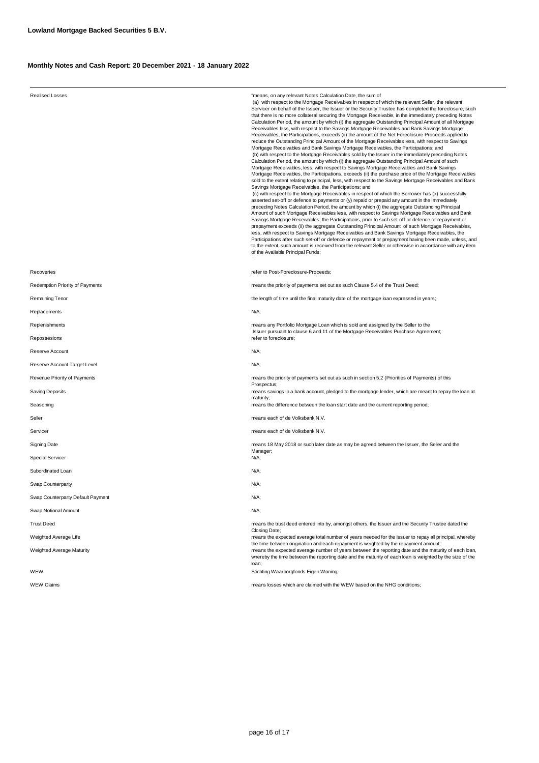| <b>Realised Losses</b>            | "means, on any relevant Notes Calculation Date, the sum of<br>(a) with respect to the Mortgage Receivables in respect of which the relevant Seller, the relevant<br>Servicer on behalf of the Issuer, the Issuer or the Security Trustee has completed the foreclosure, such<br>that there is no more collateral securing the Mortgage Receivable, in the immediately preceding Notes<br>Calculation Period, the amount by which (i) the aggregate Outstanding Principal Amount of all Mortgage<br>Receivables less, with respect to the Savings Mortgage Receivables and Bank Savings Mortgage<br>Receivables, the Participations, exceeds (ii) the amount of the Net Foreclosure Proceeds applied to<br>reduce the Outstanding Principal Amount of the Mortgage Receivables less, with respect to Savings<br>Mortgage Receivables and Bank Savings Mortgage Receivables, the Participations; and<br>(b) with respect to the Mortgage Receivables sold by the Issuer in the immediately preceding Notes<br>Calculation Period, the amount by which (i) the aggregate Outstanding Principal Amount of such<br>Mortgage Receivables, less, with respect to Savings Mortgage Receivables and Bank Savings<br>Mortgage Receivables, the Participations, exceeds (ii) the purchase price of the Mortgage Receivables<br>sold to the extent relating to principal, less, with respect to the Savings Mortgage Receivables and Bank<br>Savings Mortgage Receivables, the Participations; and<br>(c) with respect to the Mortgage Receivables in respect of which the Borrower has (x) successfully<br>asserted set-off or defence to payments or (y) repaid or prepaid any amount in the immediately<br>preceding Notes Calculation Period, the amount by which (i) the aggregate Outstanding Principal<br>Amount of such Mortgage Receivables less, with respect to Savings Mortgage Receivables and Bank<br>Savings Mortgage Receivables, the Participations, prior to such set-off or defence or repayment or<br>prepayment exceeds (ii) the aggregate Outstanding Principal Amount of such Mortgage Receivables,<br>less, with respect to Savings Mortgage Receivables and Bank Savings Mortgage Receivables, the<br>Participations after such set-off or defence or repayment or prepayment having been made, unless, and<br>to the extent, such amount is received from the relevant Seller or otherwise in accordance with any item<br>of the Available Principal Funds; |  |  |  |
|-----------------------------------|---------------------------------------------------------------------------------------------------------------------------------------------------------------------------------------------------------------------------------------------------------------------------------------------------------------------------------------------------------------------------------------------------------------------------------------------------------------------------------------------------------------------------------------------------------------------------------------------------------------------------------------------------------------------------------------------------------------------------------------------------------------------------------------------------------------------------------------------------------------------------------------------------------------------------------------------------------------------------------------------------------------------------------------------------------------------------------------------------------------------------------------------------------------------------------------------------------------------------------------------------------------------------------------------------------------------------------------------------------------------------------------------------------------------------------------------------------------------------------------------------------------------------------------------------------------------------------------------------------------------------------------------------------------------------------------------------------------------------------------------------------------------------------------------------------------------------------------------------------------------------------------------------------------------------------------------------------------------------------------------------------------------------------------------------------------------------------------------------------------------------------------------------------------------------------------------------------------------------------------------------------------------------------------------------------------------------------------------------------------------------------------------------------------------------------------------------------------------------|--|--|--|
| Recoveries                        | refer to Post-Foreclosure-Proceeds:                                                                                                                                                                                                                                                                                                                                                                                                                                                                                                                                                                                                                                                                                                                                                                                                                                                                                                                                                                                                                                                                                                                                                                                                                                                                                                                                                                                                                                                                                                                                                                                                                                                                                                                                                                                                                                                                                                                                                                                                                                                                                                                                                                                                                                                                                                                                                                                                                                       |  |  |  |
| Redemption Priority of Payments   | means the priority of payments set out as such Clause 5.4 of the Trust Deed;                                                                                                                                                                                                                                                                                                                                                                                                                                                                                                                                                                                                                                                                                                                                                                                                                                                                                                                                                                                                                                                                                                                                                                                                                                                                                                                                                                                                                                                                                                                                                                                                                                                                                                                                                                                                                                                                                                                                                                                                                                                                                                                                                                                                                                                                                                                                                                                              |  |  |  |
| Remaining Tenor                   | the length of time until the final maturity date of the mortgage loan expressed in years;                                                                                                                                                                                                                                                                                                                                                                                                                                                                                                                                                                                                                                                                                                                                                                                                                                                                                                                                                                                                                                                                                                                                                                                                                                                                                                                                                                                                                                                                                                                                                                                                                                                                                                                                                                                                                                                                                                                                                                                                                                                                                                                                                                                                                                                                                                                                                                                 |  |  |  |
| Replacements                      | N/A;                                                                                                                                                                                                                                                                                                                                                                                                                                                                                                                                                                                                                                                                                                                                                                                                                                                                                                                                                                                                                                                                                                                                                                                                                                                                                                                                                                                                                                                                                                                                                                                                                                                                                                                                                                                                                                                                                                                                                                                                                                                                                                                                                                                                                                                                                                                                                                                                                                                                      |  |  |  |
| Replenishments                    | means any Portfolio Mortgage Loan which is sold and assigned by the Seller to the<br>Issuer pursuant to clause 6 and 11 of the Mortgage Receivables Purchase Agreement;                                                                                                                                                                                                                                                                                                                                                                                                                                                                                                                                                                                                                                                                                                                                                                                                                                                                                                                                                                                                                                                                                                                                                                                                                                                                                                                                                                                                                                                                                                                                                                                                                                                                                                                                                                                                                                                                                                                                                                                                                                                                                                                                                                                                                                                                                                   |  |  |  |
| Repossesions                      | refer to foreclosure;                                                                                                                                                                                                                                                                                                                                                                                                                                                                                                                                                                                                                                                                                                                                                                                                                                                                                                                                                                                                                                                                                                                                                                                                                                                                                                                                                                                                                                                                                                                                                                                                                                                                                                                                                                                                                                                                                                                                                                                                                                                                                                                                                                                                                                                                                                                                                                                                                                                     |  |  |  |
| Reserve Account                   | N/A;                                                                                                                                                                                                                                                                                                                                                                                                                                                                                                                                                                                                                                                                                                                                                                                                                                                                                                                                                                                                                                                                                                                                                                                                                                                                                                                                                                                                                                                                                                                                                                                                                                                                                                                                                                                                                                                                                                                                                                                                                                                                                                                                                                                                                                                                                                                                                                                                                                                                      |  |  |  |
| Reserve Account Target Level      | N/A;                                                                                                                                                                                                                                                                                                                                                                                                                                                                                                                                                                                                                                                                                                                                                                                                                                                                                                                                                                                                                                                                                                                                                                                                                                                                                                                                                                                                                                                                                                                                                                                                                                                                                                                                                                                                                                                                                                                                                                                                                                                                                                                                                                                                                                                                                                                                                                                                                                                                      |  |  |  |
| Revenue Priority of Payments      | means the priority of payments set out as such in section 5.2 (Priorities of Payments) of this<br>Prospectus;                                                                                                                                                                                                                                                                                                                                                                                                                                                                                                                                                                                                                                                                                                                                                                                                                                                                                                                                                                                                                                                                                                                                                                                                                                                                                                                                                                                                                                                                                                                                                                                                                                                                                                                                                                                                                                                                                                                                                                                                                                                                                                                                                                                                                                                                                                                                                             |  |  |  |
| <b>Saving Deposits</b>            | means savings in a bank account, pledged to the mortgage lender, which are meant to repay the loan at<br>maturity;                                                                                                                                                                                                                                                                                                                                                                                                                                                                                                                                                                                                                                                                                                                                                                                                                                                                                                                                                                                                                                                                                                                                                                                                                                                                                                                                                                                                                                                                                                                                                                                                                                                                                                                                                                                                                                                                                                                                                                                                                                                                                                                                                                                                                                                                                                                                                        |  |  |  |
| Seasoning                         | means the difference between the loan start date and the current reporting period;                                                                                                                                                                                                                                                                                                                                                                                                                                                                                                                                                                                                                                                                                                                                                                                                                                                                                                                                                                                                                                                                                                                                                                                                                                                                                                                                                                                                                                                                                                                                                                                                                                                                                                                                                                                                                                                                                                                                                                                                                                                                                                                                                                                                                                                                                                                                                                                        |  |  |  |
| Seller                            | means each of de Volksbank N.V.                                                                                                                                                                                                                                                                                                                                                                                                                                                                                                                                                                                                                                                                                                                                                                                                                                                                                                                                                                                                                                                                                                                                                                                                                                                                                                                                                                                                                                                                                                                                                                                                                                                                                                                                                                                                                                                                                                                                                                                                                                                                                                                                                                                                                                                                                                                                                                                                                                           |  |  |  |
| Servicer                          | means each of de Volksbank N.V.                                                                                                                                                                                                                                                                                                                                                                                                                                                                                                                                                                                                                                                                                                                                                                                                                                                                                                                                                                                                                                                                                                                                                                                                                                                                                                                                                                                                                                                                                                                                                                                                                                                                                                                                                                                                                                                                                                                                                                                                                                                                                                                                                                                                                                                                                                                                                                                                                                           |  |  |  |
| Signing Date                      | means 18 May 2018 or such later date as may be agreed between the Issuer, the Seller and the<br>Manager;                                                                                                                                                                                                                                                                                                                                                                                                                                                                                                                                                                                                                                                                                                                                                                                                                                                                                                                                                                                                                                                                                                                                                                                                                                                                                                                                                                                                                                                                                                                                                                                                                                                                                                                                                                                                                                                                                                                                                                                                                                                                                                                                                                                                                                                                                                                                                                  |  |  |  |
| <b>Special Servicer</b>           | N/A;                                                                                                                                                                                                                                                                                                                                                                                                                                                                                                                                                                                                                                                                                                                                                                                                                                                                                                                                                                                                                                                                                                                                                                                                                                                                                                                                                                                                                                                                                                                                                                                                                                                                                                                                                                                                                                                                                                                                                                                                                                                                                                                                                                                                                                                                                                                                                                                                                                                                      |  |  |  |
| Subordinated Loan                 | N/A;                                                                                                                                                                                                                                                                                                                                                                                                                                                                                                                                                                                                                                                                                                                                                                                                                                                                                                                                                                                                                                                                                                                                                                                                                                                                                                                                                                                                                                                                                                                                                                                                                                                                                                                                                                                                                                                                                                                                                                                                                                                                                                                                                                                                                                                                                                                                                                                                                                                                      |  |  |  |
| Swap Counterparty                 | N/A;                                                                                                                                                                                                                                                                                                                                                                                                                                                                                                                                                                                                                                                                                                                                                                                                                                                                                                                                                                                                                                                                                                                                                                                                                                                                                                                                                                                                                                                                                                                                                                                                                                                                                                                                                                                                                                                                                                                                                                                                                                                                                                                                                                                                                                                                                                                                                                                                                                                                      |  |  |  |
| Swap Counterparty Default Payment | N/A;                                                                                                                                                                                                                                                                                                                                                                                                                                                                                                                                                                                                                                                                                                                                                                                                                                                                                                                                                                                                                                                                                                                                                                                                                                                                                                                                                                                                                                                                                                                                                                                                                                                                                                                                                                                                                                                                                                                                                                                                                                                                                                                                                                                                                                                                                                                                                                                                                                                                      |  |  |  |
| Swap Notional Amount              | $N/A$ ;                                                                                                                                                                                                                                                                                                                                                                                                                                                                                                                                                                                                                                                                                                                                                                                                                                                                                                                                                                                                                                                                                                                                                                                                                                                                                                                                                                                                                                                                                                                                                                                                                                                                                                                                                                                                                                                                                                                                                                                                                                                                                                                                                                                                                                                                                                                                                                                                                                                                   |  |  |  |
| <b>Trust Deed</b>                 | means the trust deed entered into by, amongst others, the Issuer and the Security Trustee dated the<br>Closing Date:                                                                                                                                                                                                                                                                                                                                                                                                                                                                                                                                                                                                                                                                                                                                                                                                                                                                                                                                                                                                                                                                                                                                                                                                                                                                                                                                                                                                                                                                                                                                                                                                                                                                                                                                                                                                                                                                                                                                                                                                                                                                                                                                                                                                                                                                                                                                                      |  |  |  |
| Weighted Average Life             | means the expected average total number of years needed for the issuer to repay all principal, whereby<br>the time between origination and each repayment is weighted by the repayment amount;<br>means the expected average number of years between the reporting date and the maturity of each loan,<br>whereby the time between the reporting date and the maturity of each loan is weighted by the size of the<br>loan;<br>Stichting Waarborgfonds Eigen Woning;                                                                                                                                                                                                                                                                                                                                                                                                                                                                                                                                                                                                                                                                                                                                                                                                                                                                                                                                                                                                                                                                                                                                                                                                                                                                                                                                                                                                                                                                                                                                                                                                                                                                                                                                                                                                                                                                                                                                                                                                      |  |  |  |
| Weighted Average Maturity<br>WEW  |                                                                                                                                                                                                                                                                                                                                                                                                                                                                                                                                                                                                                                                                                                                                                                                                                                                                                                                                                                                                                                                                                                                                                                                                                                                                                                                                                                                                                                                                                                                                                                                                                                                                                                                                                                                                                                                                                                                                                                                                                                                                                                                                                                                                                                                                                                                                                                                                                                                                           |  |  |  |
| <b>WEW Claims</b>                 | means losses which are claimed with the WEW based on the NHG conditions;                                                                                                                                                                                                                                                                                                                                                                                                                                                                                                                                                                                                                                                                                                                                                                                                                                                                                                                                                                                                                                                                                                                                                                                                                                                                                                                                                                                                                                                                                                                                                                                                                                                                                                                                                                                                                                                                                                                                                                                                                                                                                                                                                                                                                                                                                                                                                                                                  |  |  |  |
|                                   |                                                                                                                                                                                                                                                                                                                                                                                                                                                                                                                                                                                                                                                                                                                                                                                                                                                                                                                                                                                                                                                                                                                                                                                                                                                                                                                                                                                                                                                                                                                                                                                                                                                                                                                                                                                                                                                                                                                                                                                                                                                                                                                                                                                                                                                                                                                                                                                                                                                                           |  |  |  |